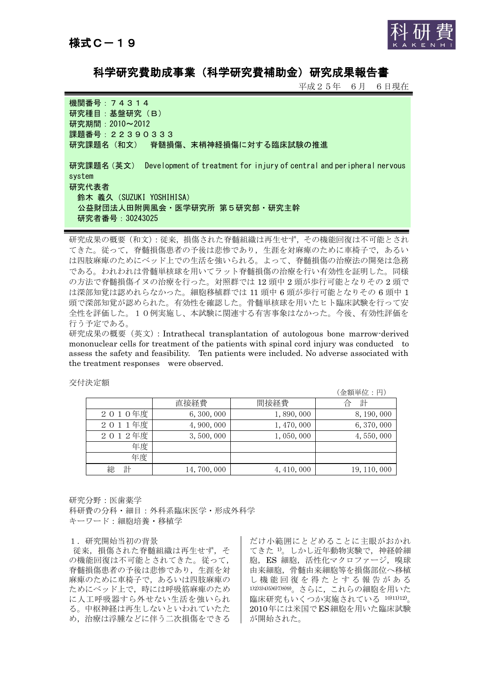

科学研究費助成事業(科学研究費補助金)研究成果報告書

平成25年 6月 6日現在

機関番号:74314 研究種目: 基盤研究 (B) 研究期間:2010~2012 課題番号: 22390333 研究課題名(和文) 脊髄損傷、末梢神経損傷に対する臨床試験の推進 研究課題名(英文) Development of treatment for injury of central and peripheral nervous system 研究代表者 鈴木 義久(SUZUKI YOSHIHISA) 公益財団法人田附興風会・医学研究所 第5研究部・研究主幹 研究者番号:30243025

研究成果の概要(和文):従来,損傷された脊髄組織は再生せず,その機能回復は不可能とされ てきた。従って,脊髄損傷患者の予後は悲惨であり,生涯を対麻痺のために車椅子で,あるい は四肢麻痺のためにベッド上での生活を強いられる。よって、脊髄損傷の治療法の開発は急務 である。われわれは骨髄単核球を用いてラット脊髄損傷の治療を行い有効性を証明した。同様 の方法で脊髄損傷イヌの治療を行った。対照群では 12 頭中 2 頭が歩行可能となりその 2 頭で は深部知覚は認めれらなかった。細胞移植群では 11 頭中 6 頭が歩行可能となりその 6 頭中 1 頭で深部知覚が認められた。有効性を確認した。骨髄単核球を用いたヒト臨床試験を行って安 全性を評価した。10例実施し、本試験に関連する有害事象はなかった。今後、有効性評価を 行う予定である。

研究成果の概要(英文):Intrathecal transplantation of autologous bone marrow-derived mononuclear cells for treatment of the patients with spinal cord injury was conducted to assess the safety and feasibility. Ten patients were included. No adverse associated with the treatment responses were observed.

|        |              |             | (金額単位:円)     |
|--------|--------------|-------------|--------------|
|        | 直接経費         | 間接経費        | 計<br>台       |
| 2010年度 | 6, 300, 000  | 1,890,000   | 8, 190, 000  |
| 2011年度 | 4, 900, 000  | 1, 470, 000 | 6, 370, 000  |
| 2012年度 | 3,500,000    | 1,050,000   | 4,550,000    |
| 年度     |              |             |              |
| 年度     |              |             |              |
| 計<br>総 | 14, 700, 000 | 4, 410, 000 | 19, 110, 000 |

交付決定額

研究分野:医歯薬学

科研費の分科・細目:外科系臨床医学・形成外科学 キーワード:細胞培養・移植学

## 1.研究開始当初の背景

従来,損傷された脊髄組織は再生せず,そ の機能回復は不可能とされてきた。従って, 脊髄損傷患者の予後は悲惨であり,生涯を対 麻痺のために車椅子で,あるいは四肢麻痺の ためにベッド上で,時には呼吸筋麻痺のため に人工呼吸器すら外せない生活を強いられ る。中枢神経は再生しないといわれていたた め,治療は浮腫などに伴う二次損傷をできる

だけ小範囲にとどめることに主眼がおかれ てきた 1)。しかし近年動物実験で、神経幹細 胞, ES 細胞, 活性化マクロファージ, 嗅球 由来細胞,骨髄由来細胞等を損傷部位へ移植 し 機 能 回 復 を 得 た と す る 報 告 が あ る 1)2)3)4)5)6)7)8)9)。さらに,これらの細胞を用いた 臨床研究もいくつか実施されている 10)11)12)。 2010年には米国でES細胞を用いた臨床試験 が開始された。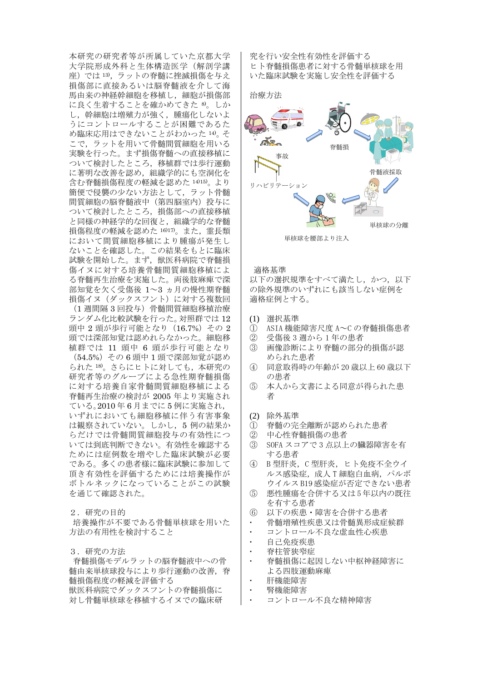本研究の研究者等が所属していた京都大学 大学院形成外科と生体構造医学(解剖学講 座)では 13),ラットの脊髄に挫滅損傷を与え 損傷部に直接あるいは脳脊髄液を介して海 馬由来の神経幹細胞を移植し,細胞が損傷部 に良く生着することを確かめてきた 8。しか し,幹細胞は増殖力が強く,腫瘍化しないよ うにコントロールすることが困難であるた め臨床応用はできないことがわかった 14)。そ こで,ラットを用いて骨髄間質細胞を用いる 実験を行った。まず損傷脊髄への直接移植に ついて検討したところ,移植群では歩行運動 に著明な改善を認め,組織学的にも空洞化を 含む脊髄損傷程度の軽減を認めた 14)15)。より 簡便で侵襲の少ない方法として,ラット骨髄 間質細胞の脳脊髄液中(第四脳室内)投与に ついて検討したところ,損傷部への直接移植 と同様の神経学的な回復と,組織学的な脊髄 損傷程度の軽減を認めた 16)17。また、霊長類 において間質細胞移植により腫瘍が発生し ないことを確認した。この結果をもとに臨床 試験を開始した。まず,獣医科病院で脊髄損 傷イヌに対する培養骨髄間質細胞移植によ る脊髄再生治療を実施した。両後肢麻痺で深 部知覚を欠く受傷後 1~3 ヵ月の慢性期脊髄 損傷イヌ (ダックスフント)に対する複数回 (1 週間隔 3 回投与)骨髄間質細胞移植治療 ランダム化比較試験を行った。対照群では 12 頭中 2 頭が歩行可能となり (16.7%) その 2 頭では深部知覚は認めれらなかった。細胞移 植群では 11 頭中 6 頭が歩行可能となり (54.5%)その 6 頭中 1 頭で深部知覚が認め られた 18)。さらにヒトに対しても,本研究の 研究者等のグループによる急性期脊髄損傷 に対する培養自家骨髄間質細胞移植による 脊髄再生治療の検討が 2005 年より実施され ている。2010 年 6 月までに 5 例に実施され, いずれにおいても細胞移植に伴う有害事象 は観察されていない。しかし,5 例の結果か らだけでは骨髄間質細胞投与の有効性につ いては到底判断できない。有効性を確認する ためには症例数を増やした臨床試験が必要 である。多くの患者様に臨床試験に参加して 頂き有効性を評価するためには培養操作が ボトルネックになっていることがこの試験 を通じて確認された。

2.研究の目的

培養操作が不要である骨髄単核球を用いた 方法の有用性を検討すること

3.研究の方法

脊髄損傷モデルラットの脳脊髄液中への骨 髄由来単核球投与により歩行運動の改善,脊 髄損傷程度の軽減を評価する 獣医科病院でダックスフントの脊髄損傷に 対し骨髄単核球を移植するイヌでの臨床研

究を行い安全性有効性を評価する ヒト脊髄損傷患者に対する骨髄単核球を用 いた臨床試験を実施し安全性を評価する

治療方法



単核球を腰部より注入

適格基準

以下の選択規準をすべて満たし、かつ、以下 の除外規準のいずれにも該当しない症例を 適格症例とする。

- (1) 選択基準
- ① ASIA 機能障害尺度 A~C の脊髄損傷患者
- ② 受傷後 3 週から 1 年の患者
- ③ 画像診断により脊髄の部分的損傷が認 められた患者
- ④ 同意取得時の年齢が 20 歳以上 60 歳以下 の患者
- ⑤ 本人から文書による同意が得られた患 者
- (2) 除外基準
- ① 脊髄の完全離断が認められた患者
- ② 中心性脊髄損傷の患者
- ③ SOFA スコアで 3 点以上の臓器障害を有 する患者
- ④ B 型肝炎,C 型肝炎,ヒト免疫不全ウイ ルス感染症,成人T細胞白血病,パルボ ウイルス B19 感染症が否定できない患者
- ⑤ 悪性腫瘍を合併する又は 5 年以内の既往 を有する患者
- ⑥ 以下の疾患・障害を合併する患者
- 骨髄増殖性疾患又は骨髄異形成症候群
- コントロール不良な虚血性心疾患
- 自己免疫疾患
- 脊柱管狭窄症
- 脊髄損傷に起因しない中枢神経障害に よる四肢運動麻痺
- 肝機能障害
- 腎機能障害
- コントロール不良な精神障害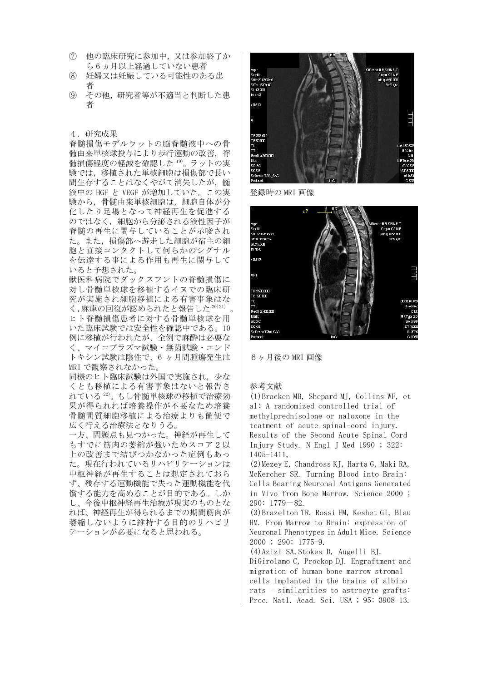- ⑦ 他の臨床研究に参加中,又は参加終了か ら 6 ヵ月以上経過していない患者
- ⑧ 妊婦又は妊娠している可能性のある患 者
- ⑨ その他,研究者等が不適当と判断した患 者

4.研究成果

脊髄損傷モデルラットの脳脊髄液中への骨 髄由来単核球投与により歩行運動の改善,脊 髄損傷程度の軽減を確認した 19)。ラットの実 験では,移植された単核細胞は損傷部で長い 間生存することはなくやがて消失したが,髄 液中の HGF と VEGF が増加していた。この実 験から,骨髄由来単核細胞は,細胞自体が分 化したり足場となって神経再生を促進する のではなく,細胞から分泌される液性因子が 脊髄の再生に関与していることが示唆され た。また,損傷部へ遊走した細胞が宿主の細 胞と直接コンタクトして何らかのシグナル を伝達する事による作用も再生に関与して いると予想された。

獣医科病院でダックスフントの脊髄損傷に 対し骨髄単核球を移植するイヌでの臨床研 究が実施され細胞移植による有害事象はな く,麻痺の回復が認められたと報告した 20)21)

ヒト脊髄損傷患者に対する骨髄単核球を用 いた臨床試験では安全性を確認中である。10 例に移植が行われたが、全例で麻酔は必要な く、マイコプラズマ試験・無菌試験・エンド トキシン試験は陰性で、6 ヶ月間腫瘍発生は MRI で観察されなかった。

同様のヒト臨床試験は外国で実施され,少な くとも移植による有害事象はないと報告さ れている<sup>22)</sup>。もし骨髄単核球の移植で治療効 果が得られれば培養操作が不要なため培養 骨髄間質細胞移植による治療よりも簡便で 広く行える治療法となりうる。

一方、問題点も見つかった。神経が再生して もすでに筋肉の萎縮が強いためスコア2以 上の改善まで結びつかなかった症例もあっ た。現在行われているリハビリテーションは 中枢神経が再生することは想定されておら ず、残存する運動機能で失った運動機能を代 償する能力を高めることが目的である。しか し、今後中枢神経再生治療が現実のものとな れば、神経再生が得られるまでの期間筋肉が 萎縮しないように維持する目的のリハビリ テーションが必要になると思われる。



登録時の MRI 画像



6ヶ月後の MRI 画像

参考文献

(1)Bracken MB, Shepard MJ, Collins WF, et al: A randomized controlled trial of methylprednisolone or naloxone in the teatment of acute spinal-cord injury. Results of the Second Acute Spinal Cord Injury Study. N Engl J Med 1990 ; 322: 1405-1411,

(2)Mezey E, Chandross KJ, Harta G, Maki RA, McKercher SR. Turning Blood into Brain: Cells Bearing Neuronal Antigens Generated in Vivo from Bone Marrow. Science 2000 ; 290: 1779-82.

(3)Brazelton TR, Rossi FM, Keshet GI, Blau HM. From Marrow to Brain: expression of Neuronal Phenotypes in Adult Mice. Science 2000 ; 290: 1775-9.

(4)Azizi SA,Stokes D, Augelli BJ,

DiGirolamo C, Prockop DJ. Engraftment and migration of human bone marrow stromal cells implanted in the brains of albino rats – similarities to astrocyte grafts: Proc. Natl. Acad. Sci. USA ; 95: 3908-13.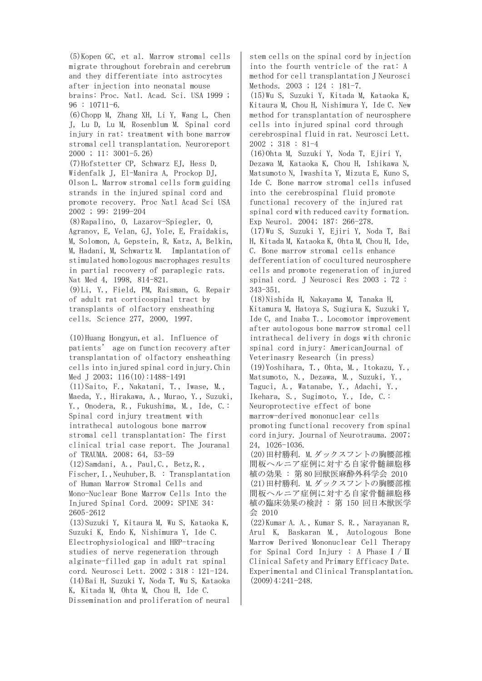(5)Kopen GC, et al. Marrow stromal cells migrate throughout forebrain and cerebrum and they differentiate into astrocytes after injection into neonatal mouse brains: Proc. Natl. Acad. Sci. USA 1999 ; 96 : 10711-6. (6)Chopp M, Zhang XH, Li Y, Wang L, Chen J, Lu D, Lu M, Rosenblum M. Spinal cord injury in rat: treatment with bone marrow stromal cell transplantation. Neuroreport 2000 ; 11: 3001-5.26) (7)Hofstetter CP, Schwarz EJ, Hess D, Widenfalk J, El-Manira A, Prockop DJ, Olson L. Marrow stromal cells form guiding strands in the injured spinal cord and promote recovery. Proc Natl Acad Sci USA 2002 ; 99: 2199-204 (8)Rapalino, O, Lazarov-Spiegler, O, Agranov, E, Velan, GJ, Yole, E, Fraidakis, M, Solomon, A, Gepstein, R, Katz, A, Belkin, M, Hadani, M, Schwartz M. Implantation of stimulated homologous macrophages results in partial recovery of paraplegic rats. Nat Med 4, 1998, 814-821. (9)Li, Y., Field, PM, Raisman, G. Repair of adult rat corticospinal tract by transplants of olfactory ensheathing cells. Science 277, 2000, 1997. (10)Huang Hongyun,et al. Influence of patients' age on function recovery after transplantation of olfactory ensheathing cells into injured spinal cord injury.Chin Med J 2003; 116(10):1488-1491 (11)Saito, F., Nakatani, T., Iwase, M., Maeda, Y., Hirakawa, A., Murao, Y., Suzuki, Y., Onodera, R., Fukushima, M., Ide, C.: Spinal cord injury treatment with intrathecal autologous bone marrow stromal cell transplantation: The first clinical trial case report. The Jouranal of TRAUMA. 2008; 64, 53-59 (12)Samdani, A., Paul,C., Betz,R., Fischer, I., Neuhuber, B. : Transplantation of Human Marrow Stromal Cells and Mono-Nuclear Bone Marrow Cells Into the Injured Spinal Cord. 2009; SPINE 34: 2605–2612 (13)Suzuki Y, Kitaura M, Wu S, Kataoka K, Suzuki K, Endo K, Nishimura Y, Ide C. Electrophysiological and HRP-tracing

studies of nerve regeneration through alginate-filled gap in adult rat spinal cord. Neurosci Lett. 2002 ; 318 : 121-124. (14)Bai H, Suzuki Y, Noda T, Wu S, Kataoka K, Kitada M, Ohta M, Chou H, Ide C. Dissemination and proliferation of neural stem cells on the spinal cord by injection into the fourth ventricle of the rat: A method for cell transplantation J Neurosci Methods. 2003 ; 124 : 181-7.

(15)Wu S, Suzuki Y, Kitada M, Kataoka K, Kitaura M, Chou H, Nishimura Y, Ide C. New method for transplantation of neurosphere cells into injured spinal cord through cerebrospinal fluid in rat. Neurosci Lett. 2002 ; 318 : 81-4

(16)Ohta M, Suzuki Y, Noda T, Ejiri Y, Dezawa M, Kataoka K, Chou H, Ishikawa N, Matsumoto N, Iwashita Y, Mizuta E, Kuno S, Ide C. Bone marrow stromal cells infused into the cerebrospinal fluid promote functional recovery of the injured rat spinal cord with reduced cavity formation. Exp Neurol. 2004; 187: 266-278.

(17)Wu S, Suzuki Y, Ejiri Y, Noda T, Bai H, Kitada M, Kataoka K, Ohta M, Chou H, Ide, C. Bone marrow stromal cells enhance defferentiation of cocultured neurosphere cells and promote regeneration of injured spinal cord. J Neurosci Res 2003 ; 72 : 343-351.

(18)Nishida H, Nakayama M, Tanaka H, Kitamura M, Hatoya S, Sugiura K, Suzuki Y, Ide C, and Inaba T.. Locomotor improvement after autologous bone marrow stromal cell intrathecal delivery in dogs with chronic spinal cord injury: AmericanJournal of Veterinasry Research (in press) (19)Yoshihara, T., Ohta, M., Itokazu, Y., Matsumoto, N., Dezawa, M., Suzuki, Y., Taguci, A., Watanabe, Y., Adachi, Y., Ikehara, S., Sugimoto, Y., Ide, C.: Neuroprotective effect of bone marrow-derived mononuclear cells promoting functional recovery from spinal cord injury. Journal of Neurotrauma. 2007; 24, 1026-1036.

(20)田村勝利. M.ダックスフントの胸腰部椎 間板ヘルニア症例に対する自家骨髄細胞移 植の効果 : 第 80 回獣医麻酔外科学会 2010 (21)田村勝利. M.ダックスフントの胸腰部椎 間板ヘルニア症例に対する自家骨髄細胞移 植の臨床効果の検討 : 第 150 回日本獣医学 会 2010

(22)Kumar A. A., Kumar S. R., Narayanan R, Arul K, Baskaran M., Autologous Bone Marrow Derived Mononuclear Cell Therapy for Spinal Cord Injury : A Phase  $\text{I}/\text{II}$ Clinical Safety and Primary Efficacy Date. Experimental and Clinical Transplantation. (2009)4:241-248.